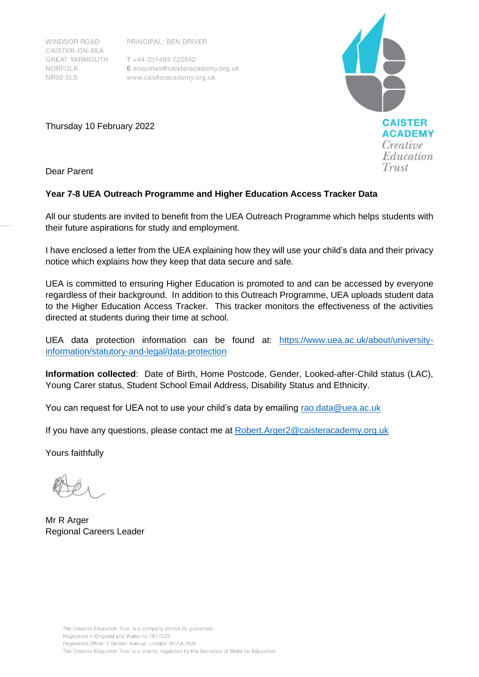**WINDSOR ROAD** CAISTER-ON-SEA **GREAT YARMOUTH** NORFOLK **NR30 5LS** 

PRINCIPAL: BEN DRIVER

 $T + 44 (0)1493 720542$ E enquiries@caisteracademy.org.uk www.caisteracademy.org.uk



Thursday 10 February 2022

Dear Parent

# **Year 7-8 UEA Outreach Programme and Higher Education Access Tracker Data**

All our students are invited to benefit from the UEA Outreach Programme which helps students with their future aspirations for study and employment.

I have enclosed a letter from the UEA explaining how they will use your child's data and their privacy notice which explains how they keep that data secure and safe.

UEA is committed to ensuring Higher Education is promoted to and can be accessed by everyone regardless of their background. In addition to this Outreach Programme, UEA uploads student data to the Higher Education Access Tracker. This tracker monitors the effectiveness of the activities directed at students during their time at school.

UEA data protection information can be found at: [https://www.uea.ac.uk/about/university](https://www.uea.ac.uk/about/university-information/statutory-and-legal/data-protection)[information/statutory-and-legal/data-protection](https://www.uea.ac.uk/about/university-information/statutory-and-legal/data-protection)

**Information collected**: Date of Birth, Home Postcode, Gender, Looked-after-Child status (LAC), Young Carer status, Student School Email Address, Disability Status and Ethnicity.

You can request for UEA not to use your child's data by emailing rao.data@uea.ac.uk

If you have any questions, please contact me at Robert.Arger2@caisteracademy.org.uk

Yours faithfully

Mr R Arger Regional Careers Leader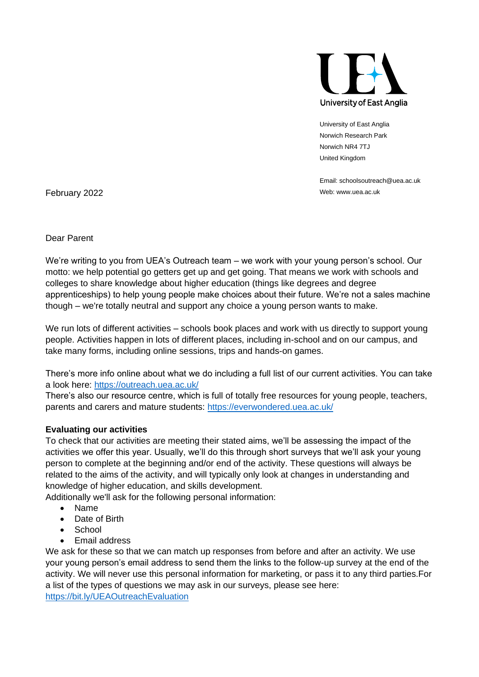

University of East Anglia Norwich Research Park Norwich NR4 7TJ United Kingdom

Email: schoolsoutreach@uea.ac.uk

February 2022 Web: www.uea.ac.uk

Dear Parent

We're writing to you from UEA's Outreach team – we work with your young person's school. Our motto: we help potential go getters get up and get going. That means we work with schools and colleges to share knowledge about higher education (things like degrees and degree apprenticeships) to help young people make choices about their future. We're not a sales machine though – we're totally neutral and support any choice a young person wants to make.

We run lots of different activities – schools book places and work with us directly to support young people. Activities happen in lots of different places, including in-school and on our campus, and take many forms, including online sessions, trips and hands-on games.

There's more info online about what we do including a full list of our current activities. You can take a look here:<https://outreach.uea.ac.uk/>

There's also our resource centre, which is full of totally free resources for young people, teachers, parents and carers and mature students:<https://everwondered.uea.ac.uk/>

### **Evaluating our activities**

To check that our activities are meeting their stated aims, we'll be assessing the impact of the activities we offer this year. Usually, we'll do this through short surveys that we'll ask your young person to complete at the beginning and/or end of the activity. These questions will always be related to the aims of the activity, and will typically only look at changes in understanding and knowledge of higher education, and skills development.

Additionally we'll ask for the following personal information:

- Name
- Date of Birth
- **School**
- Email address

We ask for these so that we can match up responses from before and after an activity. We use your young person's email address to send them the links to the follow-up survey at the end of the activity. We will never use this personal information for marketing, or pass it to any third parties.For a list of the types of questions we may ask in our surveys, please see here: <https://bit.ly/UEAOutreachEvaluation>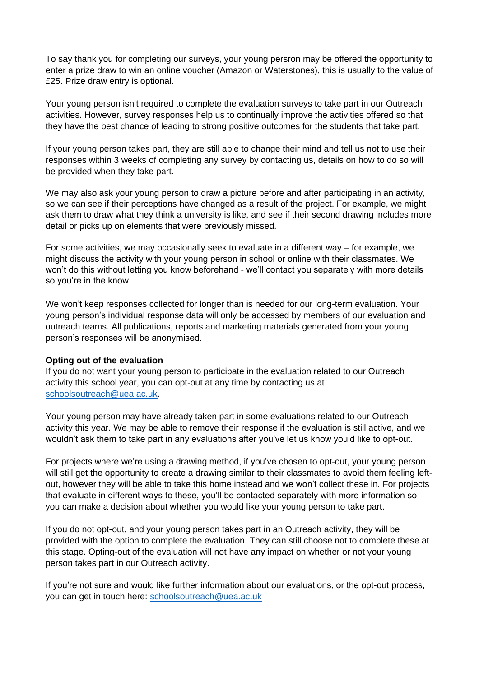To say thank you for completing our surveys, your young persron may be offered the opportunity to enter a prize draw to win an online voucher (Amazon or Waterstones), this is usually to the value of £25. Prize draw entry is optional.

Your young person isn't required to complete the evaluation surveys to take part in our Outreach activities. However, survey responses help us to continually improve the activities offered so that they have the best chance of leading to strong positive outcomes for the students that take part.

If your young person takes part, they are still able to change their mind and tell us not to use their responses within 3 weeks of completing any survey by contacting us, details on how to do so will be provided when they take part.

We may also ask your young person to draw a picture before and after participating in an activity, so we can see if their perceptions have changed as a result of the project. For example, we might ask them to draw what they think a university is like, and see if their second drawing includes more detail or picks up on elements that were previously missed.

For some activities, we may occasionally seek to evaluate in a different way – for example, we might discuss the activity with your young person in school or online with their classmates. We won't do this without letting you know beforehand - we'll contact you separately with more details so you're in the know.

We won't keep responses collected for longer than is needed for our long-term evaluation. Your young person's individual response data will only be accessed by members of our evaluation and outreach teams. All publications, reports and marketing materials generated from your young person's responses will be anonymised.

### **Opting out of the evaluation**

If you do not want your young person to participate in the evaluation related to our Outreach activity this school year, you can opt-out at any time by contacting us at [schoolsoutreach@uea.ac.uk.](mailto:rao.data@uea.ac.uk)

Your young person may have already taken part in some evaluations related to our Outreach activity this year. We may be able to remove their response if the evaluation is still active, and we wouldn't ask them to take part in any evaluations after you've let us know you'd like to opt-out.

For projects where we're using a drawing method, if you've chosen to opt-out, your young person will still get the opportunity to create a drawing similar to their classmates to avoid them feeling leftout, however they will be able to take this home instead and we won't collect these in. For projects that evaluate in different ways to these, you'll be contacted separately with more information so you can make a decision about whether you would like your young person to take part.

If you do not opt-out, and your young person takes part in an Outreach activity, they will be provided with the option to complete the evaluation. They can still choose not to complete these at this stage. Opting-out of the evaluation will not have any impact on whether or not your young person takes part in our Outreach activity.

If you're not sure and would like further information about our evaluations, or the opt-out process, you can get in touch here: [schoolsoutreach@uea.ac.uk](mailto:schoolsoutreach@uea.ac.uk)